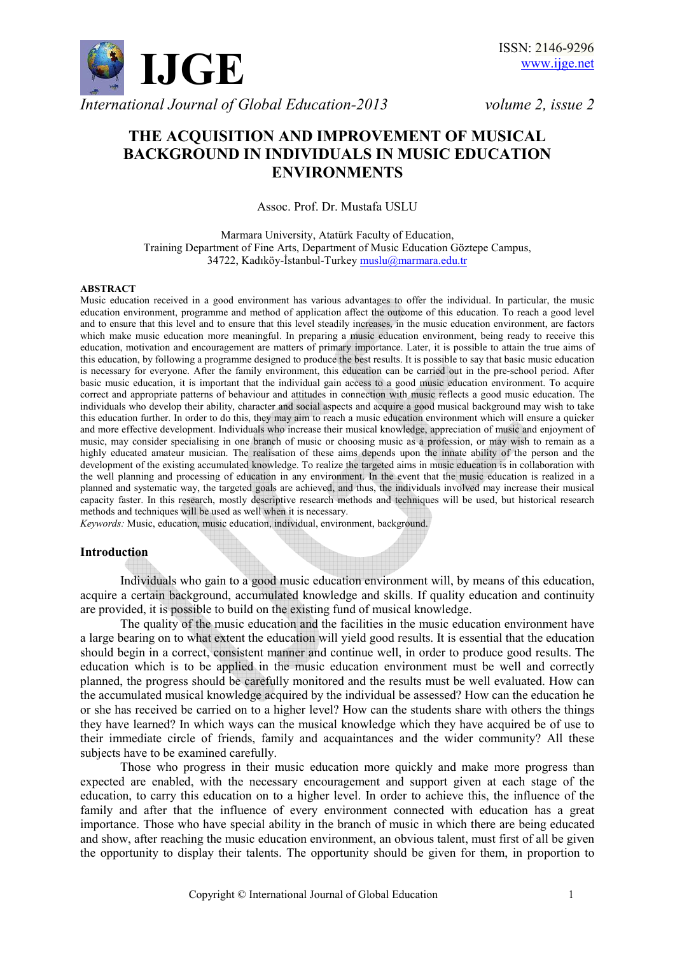

# **THE ACQUISITION AND IMPROVEMENT OF MUSICAL BACKGROUND IN INDIVIDUALS IN MUSIC EDUCATION ENVIRONMENTS**

Assoc. Prof. Dr. Mustafa USLU

Marmara University, Atatürk Faculty of Education, Training Department of Fine Arts, Department of Music Education Göztepe Campus, 34722, Kadıköy-İstanbul-Turkey muslu@marmara.edu.tr

#### **ABSTRACT**

Music education received in a good environment has various advantages to offer the individual. In particular, the music education environment, programme and method of application affect the outcome of this education. To reach a good level and to ensure that this level and to ensure that this level steadily increases, in the music education environment, are factors which make music education more meaningful. In preparing a music education environment, being ready to receive this education, motivation and encouragement are matters of primary importance. Later, it is possible to attain the true aims of this education, by following a programme designed to produce the best results. It is possible to say that basic music education is necessary for everyone. After the family environment, this education can be carried out in the pre-school period. After basic music education, it is important that the individual gain access to a good music education environment. To acquire correct and appropriate patterns of behaviour and attitudes in connection with music reflects a good music education. The individuals who develop their ability, character and social aspects and acquire a good musical background may wish to take this education further. In order to do this, they may aim to reach a music education environment which will ensure a quicker and more effective development. Individuals who increase their musical knowledge, appreciation of music and enjoyment of music, may consider specialising in one branch of music or choosing music as a profession, or may wish to remain as a highly educated amateur musician. The realisation of these aims depends upon the innate ability of the person and the development of the existing accumulated knowledge. To realize the targeted aims in music education is in collaboration with the well planning and processing of education in any environment. In the event that the music education is realized in a planned and systematic way, the targeted goals are achieved, and thus, the individuals involved may increase their musical capacity faster. In this research, mostly descriptive research methods and techniques will be used, but historical research methods and techniques will be used as well when it is necessary.

*Keywords:* Music, education, music education, individual, environment, background.

#### **Introduction**

 Individuals who gain to a good music education environment will, by means of this education, acquire a certain background, accumulated knowledge and skills. If quality education and continuity are provided, it is possible to build on the existing fund of musical knowledge.

 The quality of the music education and the facilities in the music education environment have a large bearing on to what extent the education will yield good results. It is essential that the education should begin in a correct, consistent manner and continue well, in order to produce good results. The education which is to be applied in the music education environment must be well and correctly planned, the progress should be carefully monitored and the results must be well evaluated. How can the accumulated musical knowledge acquired by the individual be assessed? How can the education he or she has received be carried on to a higher level? How can the students share with others the things they have learned? In which ways can the musical knowledge which they have acquired be of use to their immediate circle of friends, family and acquaintances and the wider community? All these subjects have to be examined carefully.

 Those who progress in their music education more quickly and make more progress than expected are enabled, with the necessary encouragement and support given at each stage of the education, to carry this education on to a higher level. In order to achieve this, the influence of the family and after that the influence of every environment connected with education has a great importance. Those who have special ability in the branch of music in which there are being educated and show, after reaching the music education environment, an obvious talent, must first of all be given the opportunity to display their talents. The opportunity should be given for them, in proportion to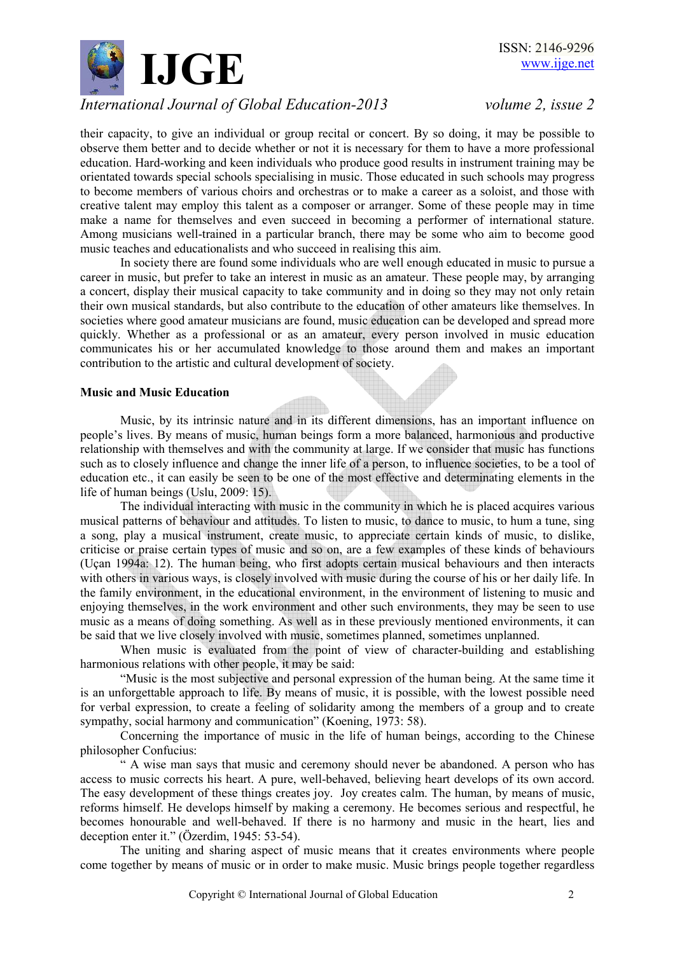

their capacity, to give an individual or group recital or concert. By so doing, it may be possible to observe them better and to decide whether or not it is necessary for them to have a more professional education. Hard-working and keen individuals who produce good results in instrument training may be orientated towards special schools specialising in music. Those educated in such schools may progress to become members of various choirs and orchestras or to make a career as a soloist, and those with creative talent may employ this talent as a composer or arranger. Some of these people may in time make a name for themselves and even succeed in becoming a performer of international stature. Among musicians well-trained in a particular branch, there may be some who aim to become good music teaches and educationalists and who succeed in realising this aim.

 In society there are found some individuals who are well enough educated in music to pursue a career in music, but prefer to take an interest in music as an amateur. These people may, by arranging a concert, display their musical capacity to take community and in doing so they may not only retain their own musical standards, but also contribute to the education of other amateurs like themselves. In societies where good amateur musicians are found, music education can be developed and spread more quickly. Whether as a professional or as an amateur, every person involved in music education communicates his or her accumulated knowledge to those around them and makes an important contribution to the artistic and cultural development of society.

#### **Music and Music Education**

 Music, by its intrinsic nature and in its different dimensions, has an important influence on people's lives. By means of music, human beings form a more balanced, harmonious and productive relationship with themselves and with the community at large. If we consider that music has functions such as to closely influence and change the inner life of a person, to influence societies, to be a tool of education etc., it can easily be seen to be one of the most effective and determinating elements in the life of human beings (Uslu, 2009: 15).

 The individual interacting with music in the community in which he is placed acquires various musical patterns of behaviour and attitudes. To listen to music, to dance to music, to hum a tune, sing a song, play a musical instrument, create music, to appreciate certain kinds of music, to dislike, criticise or praise certain types of music and so on, are a few examples of these kinds of behaviours (Uçan 1994a: 12). The human being, who first adopts certain musical behaviours and then interacts with others in various ways, is closely involved with music during the course of his or her daily life. In the family environment, in the educational environment, in the environment of listening to music and enjoying themselves, in the work environment and other such environments, they may be seen to use music as a means of doing something. As well as in these previously mentioned environments, it can be said that we live closely involved with music, sometimes planned, sometimes unplanned.

When music is evaluated from the point of view of character-building and establishing harmonious relations with other people, it may be said:

"Music is the most subjective and personal expression of the human being. At the same time it is an unforgettable approach to life. By means of music, it is possible, with the lowest possible need for verbal expression, to create a feeling of solidarity among the members of a group and to create sympathy, social harmony and communication" (Koening, 1973: 58).

 Concerning the importance of music in the life of human beings, according to the Chinese philosopher Confucius:

 " A wise man says that music and ceremony should never be abandoned. A person who has access to music corrects his heart. A pure, well-behaved, believing heart develops of its own accord. The easy development of these things creates joy. Joy creates calm. The human, by means of music, reforms himself. He develops himself by making a ceremony. He becomes serious and respectful, he becomes honourable and well-behaved. If there is no harmony and music in the heart, lies and deception enter it." (Özerdim, 1945: 53-54).

The uniting and sharing aspect of music means that it creates environments where people come together by means of music or in order to make music. Music brings people together regardless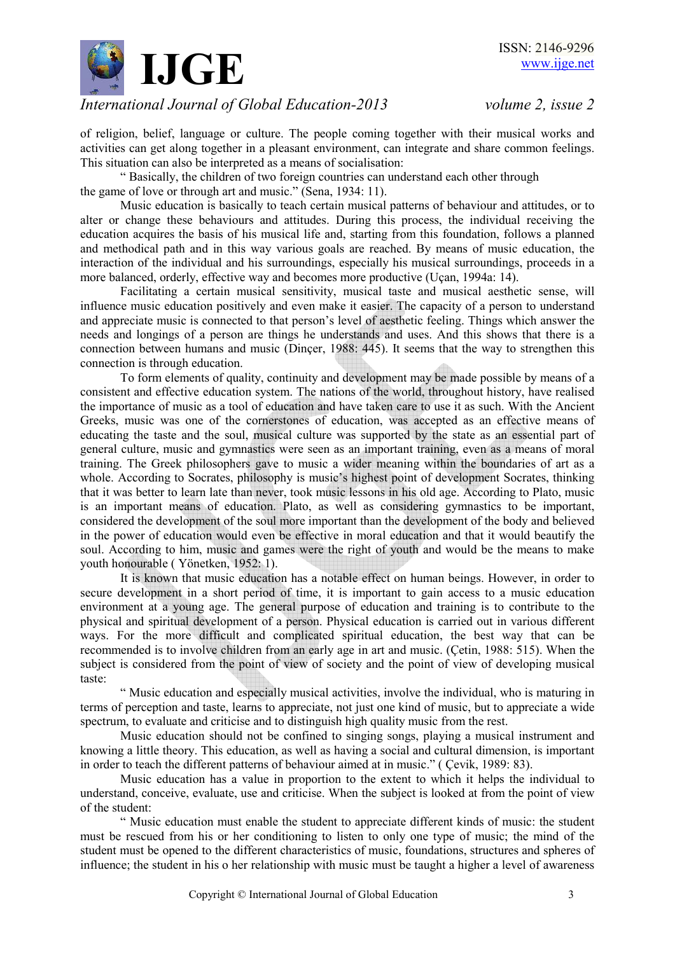

of religion, belief, language or culture. The people coming together with their musical works and activities can get along together in a pleasant environment, can integrate and share common feelings. This situation can also be interpreted as a means of socialisation:

 " Basically, the children of two foreign countries can understand each other through the game of love or through art and music." (Sena, 1934: 11).

 Music education is basically to teach certain musical patterns of behaviour and attitudes, or to alter or change these behaviours and attitudes. During this process, the individual receiving the education acquires the basis of his musical life and, starting from this foundation, follows a planned and methodical path and in this way various goals are reached. By means of music education, the interaction of the individual and his surroundings, especially his musical surroundings, proceeds in a more balanced, orderly, effective way and becomes more productive (Uçan, 1994a: 14).

 Facilitating a certain musical sensitivity, musical taste and musical aesthetic sense, will influence music education positively and even make it easier. The capacity of a person to understand and appreciate music is connected to that person's level of aesthetic feeling. Things which answer the needs and longings of a person are things he understands and uses. And this shows that there is a connection between humans and music (Dinçer, 1988: 445). It seems that the way to strengthen this connection is through education.

 To form elements of quality, continuity and development may be made possible by means of a consistent and effective education system. The nations of the world, throughout history, have realised the importance of music as a tool of education and have taken care to use it as such. With the Ancient Greeks, music was one of the cornerstones of education, was accepted as an effective means of educating the taste and the soul, musical culture was supported by the state as an essential part of general culture, music and gymnastics were seen as an important training, even as a means of moral training. The Greek philosophers gave to music a wider meaning within the boundaries of art as a whole. According to Socrates, philosophy is music's highest point of development Socrates, thinking that it was better to learn late than never, took music lessons in his old age. According to Plato, music is an important means of education. Plato, as well as considering gymnastics to be important, considered the development of the soul more important than the development of the body and believed in the power of education would even be effective in moral education and that it would beautify the soul. According to him, music and games were the right of youth and would be the means to make youth honourable ( Yönetken, 1952: 1).

 It is known that music education has a notable effect on human beings. However, in order to secure development in a short period of time, it is important to gain access to a music education environment at a young age. The general purpose of education and training is to contribute to the physical and spiritual development of a person. Physical education is carried out in various different ways. For the more difficult and complicated spiritual education, the best way that can be recommended is to involve children from an early age in art and music. (Çetin, 1988: 515). When the subject is considered from the point of view of society and the point of view of developing musical taste:

 " Music education and especially musical activities, involve the individual, who is maturing in terms of perception and taste, learns to appreciate, not just one kind of music, but to appreciate a wide spectrum, to evaluate and criticise and to distinguish high quality music from the rest.

 Music education should not be confined to singing songs, playing a musical instrument and knowing a little theory. This education, as well as having a social and cultural dimension, is important in order to teach the different patterns of behaviour aimed at in music." ( Çevik, 1989: 83).

 Music education has a value in proportion to the extent to which it helps the individual to understand, conceive, evaluate, use and criticise. When the subject is looked at from the point of view of the student:

 " Music education must enable the student to appreciate different kinds of music: the student must be rescued from his or her conditioning to listen to only one type of music; the mind of the student must be opened to the different characteristics of music, foundations, structures and spheres of influence; the student in his o her relationship with music must be taught a higher a level of awareness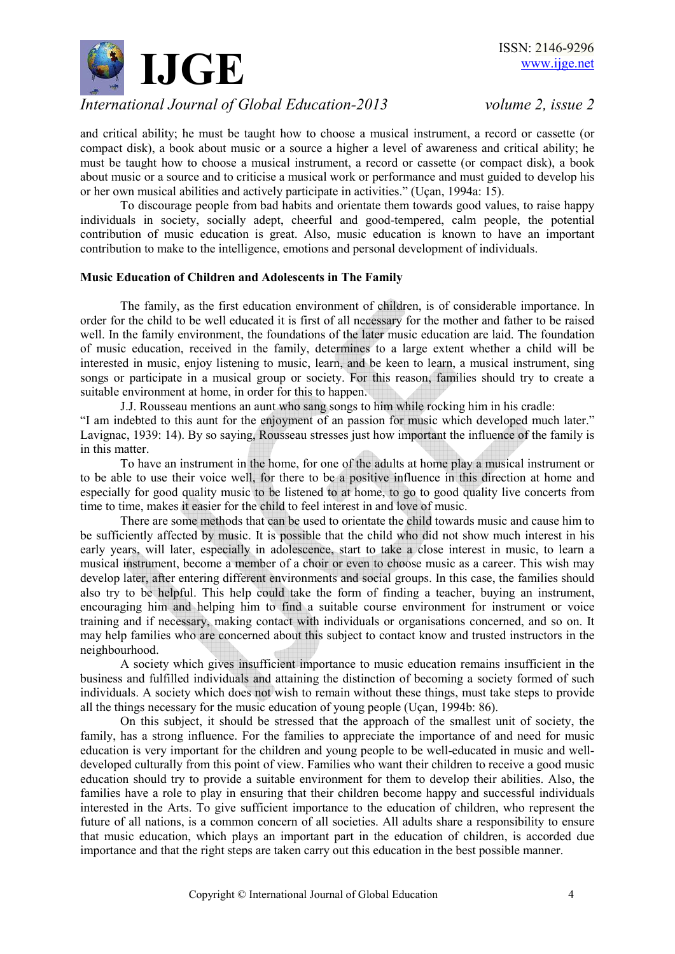

and critical ability; he must be taught how to choose a musical instrument, a record or cassette (or compact disk), a book about music or a source a higher a level of awareness and critical ability; he must be taught how to choose a musical instrument, a record or cassette (or compact disk), a book about music or a source and to criticise a musical work or performance and must guided to develop his or her own musical abilities and actively participate in activities." (Uçan, 1994a: 15).

 To discourage people from bad habits and orientate them towards good values, to raise happy individuals in society, socially adept, cheerful and good-tempered, calm people, the potential contribution of music education is great. Also, music education is known to have an important contribution to make to the intelligence, emotions and personal development of individuals.

### **Music Education of Children and Adolescents in The Family**

 The family, as the first education environment of children, is of considerable importance. In order for the child to be well educated it is first of all necessary for the mother and father to be raised well. In the family environment, the foundations of the later music education are laid. The foundation of music education, received in the family, determines to a large extent whether a child will be interested in music, enjoy listening to music, learn, and be keen to learn, a musical instrument, sing songs or participate in a musical group or society. For this reason, families should try to create a suitable environment at home, in order for this to happen.

 J.J. Rousseau mentions an aunt who sang songs to him while rocking him in his cradle: "I am indebted to this aunt for the enjoyment of an passion for music which developed much later." Lavignac, 1939: 14). By so saying, Rousseau stresses just how important the influence of the family is in this matter.

 To have an instrument in the home, for one of the adults at home play a musical instrument or to be able to use their voice well, for there to be a positive influence in this direction at home and especially for good quality music to be listened to at home, to go to good quality live concerts from time to time, makes it easier for the child to feel interest in and love of music.

 There are some methods that can be used to orientate the child towards music and cause him to be sufficiently affected by music. It is possible that the child who did not show much interest in his early years, will later, especially in adolescence, start to take a close interest in music, to learn a musical instrument, become a member of a choir or even to choose music as a career. This wish may develop later, after entering different environments and social groups. In this case, the families should also try to be helpful. This help could take the form of finding a teacher, buying an instrument, encouraging him and helping him to find a suitable course environment for instrument or voice training and if necessary, making contact with individuals or organisations concerned, and so on. It may help families who are concerned about this subject to contact know and trusted instructors in the neighbourhood.

 A society which gives insufficient importance to music education remains insufficient in the business and fulfilled individuals and attaining the distinction of becoming a society formed of such individuals. A society which does not wish to remain without these things, must take steps to provide all the things necessary for the music education of young people (Uçan, 1994b: 86).

On this subject, it should be stressed that the approach of the smallest unit of society, the family, has a strong influence. For the families to appreciate the importance of and need for music education is very important for the children and young people to be well-educated in music and welldeveloped culturally from this point of view. Families who want their children to receive a good music education should try to provide a suitable environment for them to develop their abilities. Also, the families have a role to play in ensuring that their children become happy and successful individuals interested in the Arts. To give sufficient importance to the education of children, who represent the future of all nations, is a common concern of all societies. All adults share a responsibility to ensure that music education, which plays an important part in the education of children, is accorded due importance and that the right steps are taken carry out this education in the best possible manner.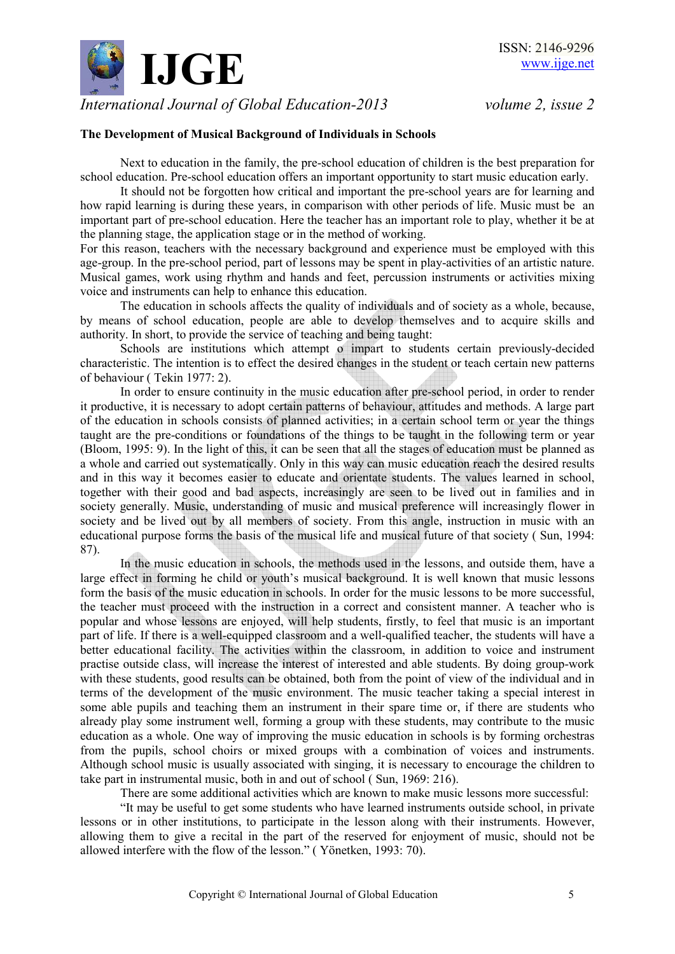

### **The Development of Musical Background of Individuals in Schools**

 Next to education in the family, the pre-school education of children is the best preparation for school education. Pre-school education offers an important opportunity to start music education early.

 It should not be forgotten how critical and important the pre-school years are for learning and how rapid learning is during these years, in comparison with other periods of life. Music must be an important part of pre-school education. Here the teacher has an important role to play, whether it be at the planning stage, the application stage or in the method of working.

For this reason, teachers with the necessary background and experience must be employed with this age-group. In the pre-school period, part of lessons may be spent in play-activities of an artistic nature. Musical games, work using rhythm and hands and feet, percussion instruments or activities mixing voice and instruments can help to enhance this education.

 The education in schools affects the quality of individuals and of society as a whole, because, by means of school education, people are able to develop themselves and to acquire skills and authority. In short, to provide the service of teaching and being taught:

 Schools are institutions which attempt o impart to students certain previously-decided characteristic. The intention is to effect the desired changes in the student or teach certain new patterns of behaviour ( Tekin 1977: 2).

 In order to ensure continuity in the music education after pre-school period, in order to render it productive, it is necessary to adopt certain patterns of behaviour, attitudes and methods. A large part of the education in schools consists of planned activities; in a certain school term or year the things taught are the pre-conditions or foundations of the things to be taught in the following term or year (Bloom, 1995: 9). In the light of this, it can be seen that all the stages of education must be planned as a whole and carried out systematically. Only in this way can music education reach the desired results and in this way it becomes easier to educate and orientate students. The values learned in school, together with their good and bad aspects, increasingly are seen to be lived out in families and in society generally. Music, understanding of music and musical preference will increasingly flower in society and be lived out by all members of society. From this angle, instruction in music with an educational purpose forms the basis of the musical life and musical future of that society ( Sun, 1994: 87).

 In the music education in schools, the methods used in the lessons, and outside them, have a large effect in forming he child or youth's musical background. It is well known that music lessons form the basis of the music education in schools. In order for the music lessons to be more successful, the teacher must proceed with the instruction in a correct and consistent manner. A teacher who is popular and whose lessons are enjoyed, will help students, firstly, to feel that music is an important part of life. If there is a well-equipped classroom and a well-qualified teacher, the students will have a better educational facility. The activities within the classroom, in addition to voice and instrument practise outside class, will increase the interest of interested and able students. By doing group-work with these students, good results can be obtained, both from the point of view of the individual and in terms of the development of the music environment. The music teacher taking a special interest in some able pupils and teaching them an instrument in their spare time or, if there are students who already play some instrument well, forming a group with these students, may contribute to the music education as a whole. One way of improving the music education in schools is by forming orchestras from the pupils, school choirs or mixed groups with a combination of voices and instruments. Although school music is usually associated with singing, it is necessary to encourage the children to take part in instrumental music, both in and out of school ( Sun, 1969: 216).

There are some additional activities which are known to make music lessons more successful:

 "It may be useful to get some students who have learned instruments outside school, in private lessons or in other institutions, to participate in the lesson along with their instruments. However, allowing them to give a recital in the part of the reserved for enjoyment of music, should not be allowed interfere with the flow of the lesson." ( Yönetken, 1993: 70).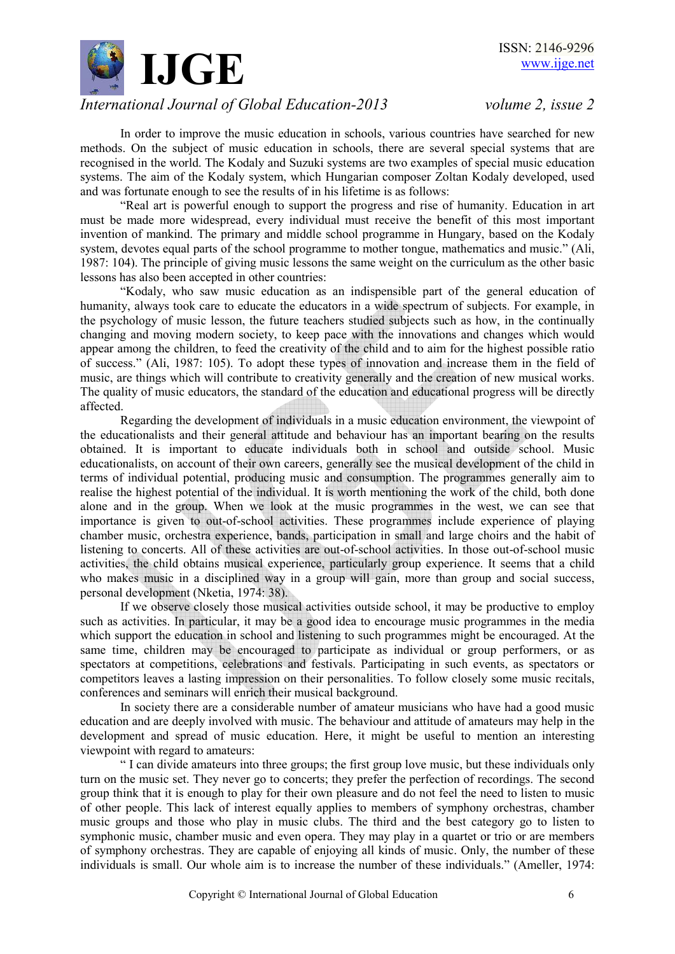

 In order to improve the music education in schools, various countries have searched for new methods. On the subject of music education in schools, there are several special systems that are recognised in the world. The Kodaly and Suzuki systems are two examples of special music education systems. The aim of the Kodaly system, which Hungarian composer Zoltan Kodaly developed, used and was fortunate enough to see the results of in his lifetime is as follows:

 "Real art is powerful enough to support the progress and rise of humanity. Education in art must be made more widespread, every individual must receive the benefit of this most important invention of mankind. The primary and middle school programme in Hungary, based on the Kodaly system, devotes equal parts of the school programme to mother tongue, mathematics and music." (Ali, 1987: 104). The principle of giving music lessons the same weight on the curriculum as the other basic lessons has also been accepted in other countries:

 "Kodaly, who saw music education as an indispensible part of the general education of humanity, always took care to educate the educators in a wide spectrum of subjects. For example, in the psychology of music lesson, the future teachers studied subjects such as how, in the continually changing and moving modern society, to keep pace with the innovations and changes which would appear among the children, to feed the creativity of the child and to aim for the highest possible ratio of success." (Ali, 1987: 105). To adopt these types of innovation and increase them in the field of music, are things which will contribute to creativity generally and the creation of new musical works. The quality of music educators, the standard of the education and educational progress will be directly affected.

 Regarding the development of individuals in a music education environment, the viewpoint of the educationalists and their general attitude and behaviour has an important bearing on the results obtained. It is important to educate individuals both in school and outside school. Music educationalists, on account of their own careers, generally see the musical development of the child in terms of individual potential, producing music and consumption. The programmes generally aim to realise the highest potential of the individual. It is worth mentioning the work of the child, both done alone and in the group. When we look at the music programmes in the west, we can see that importance is given to out-of-school activities. These programmes include experience of playing chamber music, orchestra experience, bands, participation in small and large choirs and the habit of listening to concerts. All of these activities are out-of-school activities. In those out-of-school music activities, the child obtains musical experience, particularly group experience. It seems that a child who makes music in a disciplined way in a group will gain, more than group and social success, personal development (Nketia, 1974: 38).

 If we observe closely those musical activities outside school, it may be productive to employ such as activities. In particular, it may be a good idea to encourage music programmes in the media which support the education in school and listening to such programmes might be encouraged. At the same time, children may be encouraged to participate as individual or group performers, or as spectators at competitions, celebrations and festivals. Participating in such events, as spectators or competitors leaves a lasting impression on their personalities. To follow closely some music recitals, conferences and seminars will enrich their musical background.

 In society there are a considerable number of amateur musicians who have had a good music education and are deeply involved with music. The behaviour and attitude of amateurs may help in the development and spread of music education. Here, it might be useful to mention an interesting viewpoint with regard to amateurs:

 " I can divide amateurs into three groups; the first group love music, but these individuals only turn on the music set. They never go to concerts; they prefer the perfection of recordings. The second group think that it is enough to play for their own pleasure and do not feel the need to listen to music of other people. This lack of interest equally applies to members of symphony orchestras, chamber music groups and those who play in music clubs. The third and the best category go to listen to symphonic music, chamber music and even opera. They may play in a quartet or trio or are members of symphony orchestras. They are capable of enjoying all kinds of music. Only, the number of these individuals is small. Our whole aim is to increase the number of these individuals." (Ameller, 1974: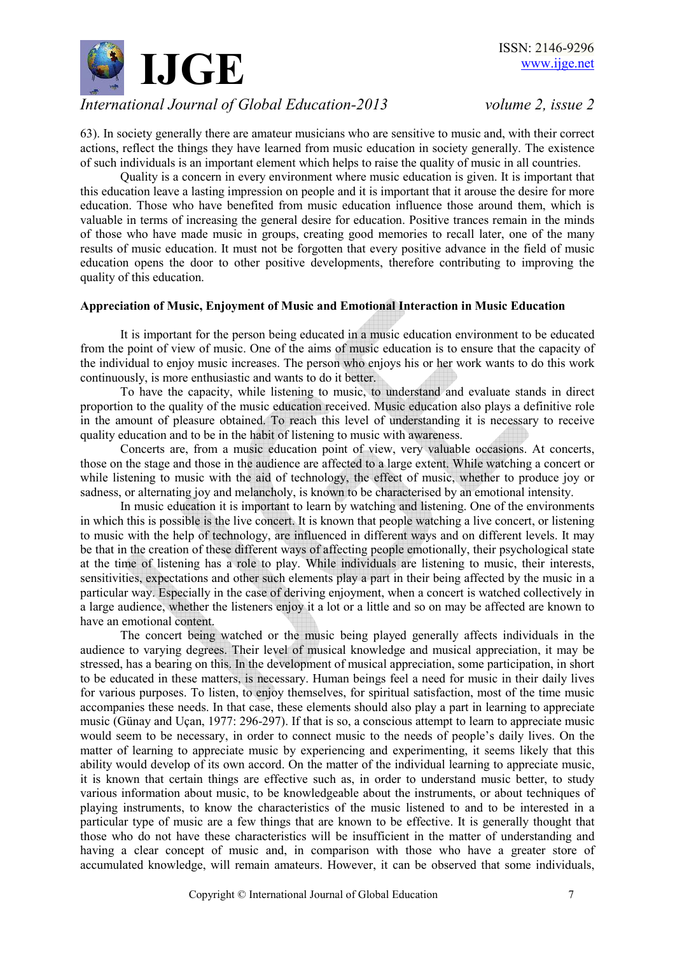

63). In society generally there are amateur musicians who are sensitive to music and, with their correct actions, reflect the things they have learned from music education in society generally. The existence of such individuals is an important element which helps to raise the quality of music in all countries.

 Quality is a concern in every environment where music education is given. It is important that this education leave a lasting impression on people and it is important that it arouse the desire for more education. Those who have benefited from music education influence those around them, which is valuable in terms of increasing the general desire for education. Positive trances remain in the minds of those who have made music in groups, creating good memories to recall later, one of the many results of music education. It must not be forgotten that every positive advance in the field of music education opens the door to other positive developments, therefore contributing to improving the quality of this education.

### **Appreciation of Music, Enjoyment of Music and Emotional Interaction in Music Education**

 It is important for the person being educated in a music education environment to be educated from the point of view of music. One of the aims of music education is to ensure that the capacity of the individual to enjoy music increases. The person who enjoys his or her work wants to do this work continuously, is more enthusiastic and wants to do it better.

 To have the capacity, while listening to music, to understand and evaluate stands in direct proportion to the quality of the music education received. Music education also plays a definitive role in the amount of pleasure obtained. To reach this level of understanding it is necessary to receive quality education and to be in the habit of listening to music with awareness.

 Concerts are, from a music education point of view, very valuable occasions. At concerts, those on the stage and those in the audience are affected to a large extent. While watching a concert or while listening to music with the aid of technology, the effect of music, whether to produce joy or sadness, or alternating joy and melancholy, is known to be characterised by an emotional intensity.

 In music education it is important to learn by watching and listening. One of the environments in which this is possible is the live concert. It is known that people watching a live concert, or listening to music with the help of technology, are influenced in different ways and on different levels. It may be that in the creation of these different ways of affecting people emotionally, their psychological state at the time of listening has a role to play. While individuals are listening to music, their interests, sensitivities, expectations and other such elements play a part in their being affected by the music in a particular way. Especially in the case of deriving enjoyment, when a concert is watched collectively in a large audience, whether the listeners enjoy it a lot or a little and so on may be affected are known to have an emotional content.

 The concert being watched or the music being played generally affects individuals in the audience to varying degrees. Their level of musical knowledge and musical appreciation, it may be stressed, has a bearing on this. In the development of musical appreciation, some participation, in short to be educated in these matters, is necessary. Human beings feel a need for music in their daily lives for various purposes. To listen, to enjoy themselves, for spiritual satisfaction, most of the time music accompanies these needs. In that case, these elements should also play a part in learning to appreciate music (Günay and Uçan, 1977: 296-297). If that is so, a conscious attempt to learn to appreciate music would seem to be necessary, in order to connect music to the needs of people's daily lives. On the matter of learning to appreciate music by experiencing and experimenting, it seems likely that this ability would develop of its own accord. On the matter of the individual learning to appreciate music, it is known that certain things are effective such as, in order to understand music better, to study various information about music, to be knowledgeable about the instruments, or about techniques of playing instruments, to know the characteristics of the music listened to and to be interested in a particular type of music are a few things that are known to be effective. It is generally thought that those who do not have these characteristics will be insufficient in the matter of understanding and having a clear concept of music and, in comparison with those who have a greater store of accumulated knowledge, will remain amateurs. However, it can be observed that some individuals,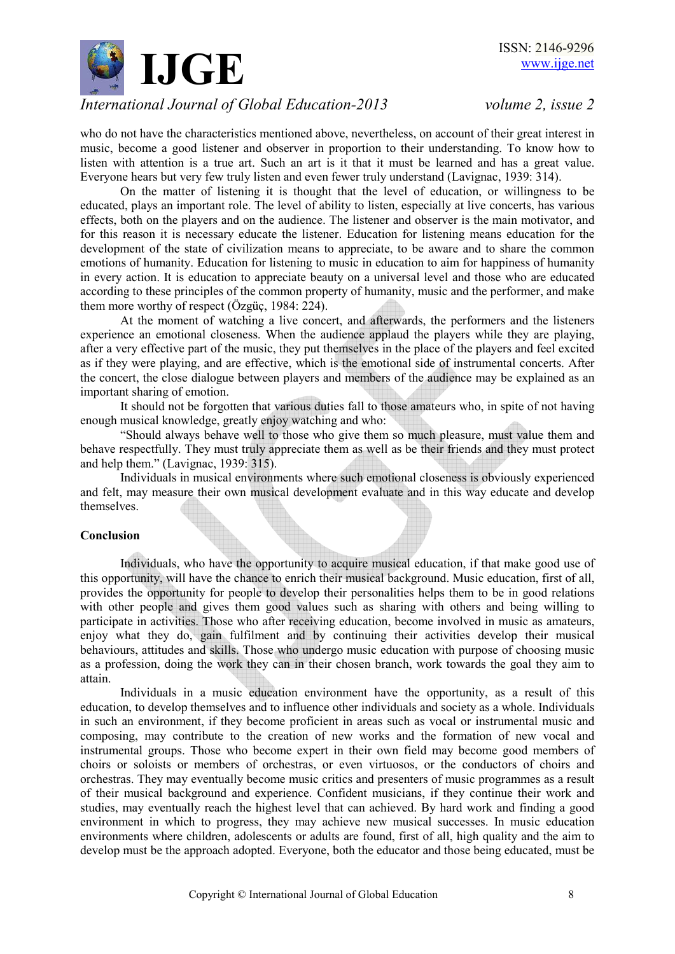

who do not have the characteristics mentioned above, nevertheless, on account of their great interest in music, become a good listener and observer in proportion to their understanding. To know how to listen with attention is a true art. Such an art is it that it must be learned and has a great value. Everyone hears but very few truly listen and even fewer truly understand (Lavignac, 1939: 314).

On the matter of listening it is thought that the level of education, or willingness to be educated, plays an important role. The level of ability to listen, especially at live concerts, has various effects, both on the players and on the audience. The listener and observer is the main motivator, and for this reason it is necessary educate the listener. Education for listening means education for the development of the state of civilization means to appreciate, to be aware and to share the common emotions of humanity. Education for listening to music in education to aim for happiness of humanity in every action. It is education to appreciate beauty on a universal level and those who are educated according to these principles of the common property of humanity, music and the performer, and make them more worthy of respect (Özgüç, 1984: 224).

 At the moment of watching a live concert, and afterwards, the performers and the listeners experience an emotional closeness. When the audience applaud the players while they are playing, after a very effective part of the music, they put themselves in the place of the players and feel excited as if they were playing, and are effective, which is the emotional side of instrumental concerts. After the concert, the close dialogue between players and members of the audience may be explained as an important sharing of emotion.

 It should not be forgotten that various duties fall to those amateurs who, in spite of not having enough musical knowledge, greatly enjoy watching and who:

 "Should always behave well to those who give them so much pleasure, must value them and behave respectfully. They must truly appreciate them as well as be their friends and they must protect and help them." (Lavignac, 1939: 315).

 Individuals in musical environments where such emotional closeness is obviously experienced and felt, may measure their own musical development evaluate and in this way educate and develop themselves.

### **Conclusion**

 Individuals, who have the opportunity to acquire musical education, if that make good use of this opportunity, will have the chance to enrich their musical background. Music education, first of all, provides the opportunity for people to develop their personalities helps them to be in good relations with other people and gives them good values such as sharing with others and being willing to participate in activities. Those who after receiving education, become involved in music as amateurs, enjoy what they do, gain fulfilment and by continuing their activities develop their musical behaviours, attitudes and skills. Those who undergo music education with purpose of choosing music as a profession, doing the work they can in their chosen branch, work towards the goal they aim to attain.

 Individuals in a music education environment have the opportunity, as a result of this education, to develop themselves and to influence other individuals and society as a whole. Individuals in such an environment, if they become proficient in areas such as vocal or instrumental music and composing, may contribute to the creation of new works and the formation of new vocal and instrumental groups. Those who become expert in their own field may become good members of choirs or soloists or members of orchestras, or even virtuosos, or the conductors of choirs and orchestras. They may eventually become music critics and presenters of music programmes as a result of their musical background and experience. Confident musicians, if they continue their work and studies, may eventually reach the highest level that can achieved. By hard work and finding a good environment in which to progress, they may achieve new musical successes. In music education environments where children, adolescents or adults are found, first of all, high quality and the aim to develop must be the approach adopted. Everyone, both the educator and those being educated, must be